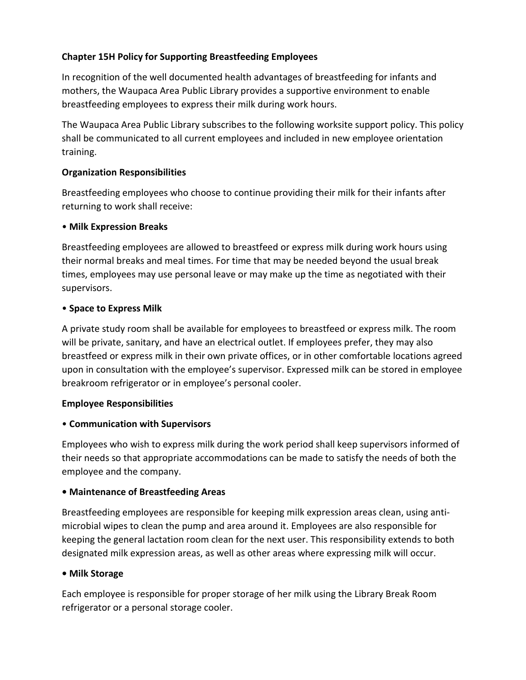# **Chapter 15H Policy for Supporting Breastfeeding Employees**

In recognition of the well documented health advantages of breastfeeding for infants and mothers, the Waupaca Area Public Library provides a supportive environment to enable breastfeeding employees to express their milk during work hours.

The Waupaca Area Public Library subscribes to the following worksite support policy. This policy shall be communicated to all current employees and included in new employee orientation training.

### **Organization Responsibilities**

Breastfeeding employees who choose to continue providing their milk for their infants after returning to work shall receive:

### • **Milk Expression Breaks**

Breastfeeding employees are allowed to breastfeed or express milk during work hours using their normal breaks and meal times. For time that may be needed beyond the usual break times, employees may use personal leave or may make up the time as negotiated with their supervisors.

### • **Space to Express Milk**

A private study room shall be available for employees to breastfeed or express milk. The room will be private, sanitary, and have an electrical outlet. If employees prefer, they may also breastfeed or express milk in their own private offices, or in other comfortable locations agreed upon in consultation with the employee's supervisor. Expressed milk can be stored in employee breakroom refrigerator or in employee's personal cooler.

#### **Employee Responsibilities**

## • **Communication with Supervisors**

Employees who wish to express milk during the work period shall keep supervisors informed of their needs so that appropriate accommodations can be made to satisfy the needs of both the employee and the company.

## **• Maintenance of Breastfeeding Areas**

Breastfeeding employees are responsible for keeping milk expression areas clean, using antimicrobial wipes to clean the pump and area around it. Employees are also responsible for keeping the general lactation room clean for the next user. This responsibility extends to both designated milk expression areas, as well as other areas where expressing milk will occur.

#### **• Milk Storage**

Each employee is responsible for proper storage of her milk using the Library Break Room refrigerator or a personal storage cooler.